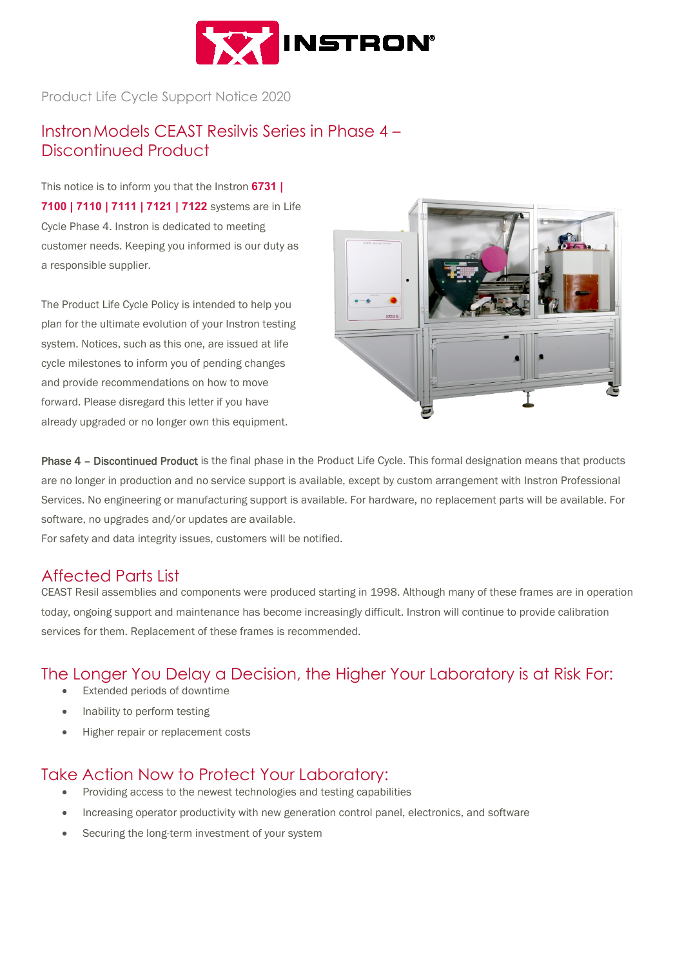

Product Life Cycle Support Notice 2020

# InstronModels CEAST Resilvis Series in Phase 4 – Discontinued Product

This notice is to inform you that the Instron **6731 | 7100 | 7110 | 7111 | 7121 | 7122** systems are in Life Cycle Phase 4. Instron is dedicated to meeting customer needs. Keeping you informed is our duty as a responsible supplier.

The Product Life Cycle Policy is intended to help you plan for the ultimate evolution of your Instron testing system. Notices, such as this one, are issued at life cycle milestones to inform you of pending changes and provide recommendations on how to move forward. Please disregard this letter if you have already upgraded or no longer own this equipment.



Phase 4 – Discontinued Product is the final phase in the Product Life Cycle. This formal designation means that products are no longer in production and no service support is available, except by custom arrangement with Instron Professional Services. No engineering or manufacturing support is available. For hardware, no replacement parts will be available. For software, no upgrades and/or updates are available.

For safety and data integrity issues, customers will be notified.

#### Affected Parts List

CEAST Resil assemblies and components were produced starting in 1998. Although many of these frames are in operation today, ongoing support and maintenance has become increasingly difficult. Instron will continue to provide calibration services for them. Replacement of these frames is recommended.

### The Longer You Delay a Decision, the Higher Your Laboratory is at Risk For:

- Extended periods of downtime
- Inability to perform testing
- Higher repair or replacement costs

### Take Action Now to Protect Your Laboratory:

- Providing access to the newest technologies and testing capabilities
- Increasing operator productivity with new generation control panel, electronics, and software
- Securing the long-term investment of your system